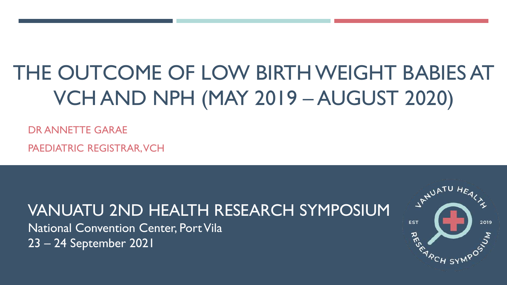# THE OUTCOME OF LOW BIRTH WEIGHT BABIES AT VCH AND NPH (MAY 2019 – AUGUST 2020)

DR ANNETTE GARAE

PAEDIATRIC REGISTRAR, VCH

VANUATU 2ND HEALTH RESEARCH SYMPOSIUM

National Convention Center, Port Vila 23 – 24 September 2021

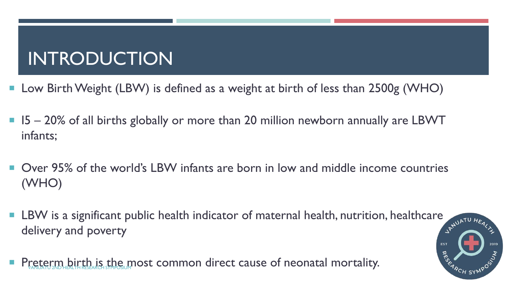# INTRODUCTION

- Low Birth Weight (LBW) is defined as a weight at birth of less than 2500g (WHO)
- I5 20% of all births globally or more than 20 million newborn annually are LBWT infants;
- Over 95% of the world's LBW infants are born in low and middle income countries (WHO)
- **LBW** is a significant public health indicator of maternal health, nutrition, healthcare  $\frac{1}{2}$   $\frac{1}{2}$ delivery and poverty

**RES** 

Preterm birth is the most common direct cause of neonatal mortality.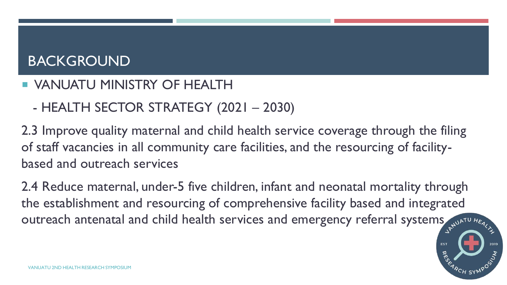# BACKGROUND

### **UNANUATU MINISTRY OF HEALTH**

- HEALTH SECTOR STRATEGY (2021 – 2030)

2.3 Improve quality maternal and child health service coverage through the filing of staff vacancies in all community care facilities, and the resourcing of facilitybased and outreach services

2.4 Reduce maternal, under-5 five children, infant and neonatal mortality through the establishment and resourcing of comprehensive facility based and integrated outreach antenatal and child health services and emergency referral systems substanting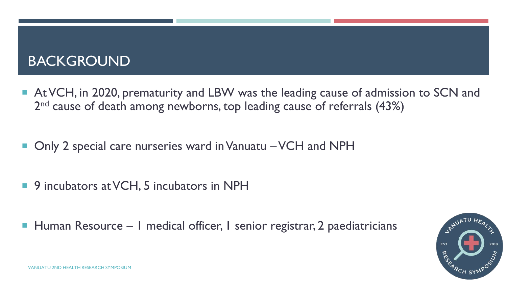# BACKGROUND

- At VCH, in 2020, prematurity and LBW was the leading cause of admission to SCN and 2<sup>nd</sup> cause of death among newborns, top leading cause of referrals (43%)
- Only 2 special care nurseries ward in Vanuatu VCH and NPH
- 9 incubators at VCH, 5 incubators in NPH
- Human Resource I medical officer, I senior registrar, 2 paediatricians

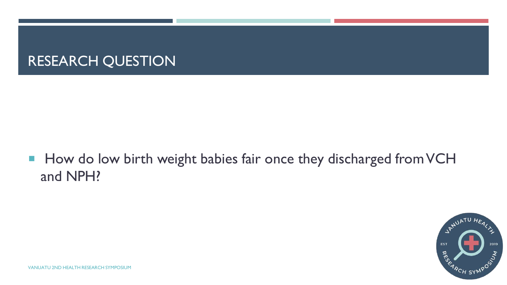# RESEARCH QUESTION

■ How do low birth weight babies fair once they discharged from VCH and NPH?

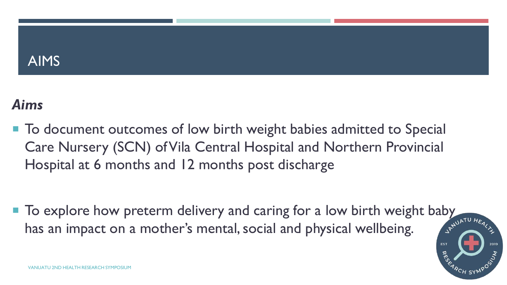### AIMS

# *Aims*

■ To document outcomes of low birth weight babies admitted to Special Care Nursery (SCN) of Vila Central Hospital and Northern Provincial Hospital at 6 months and 12 months post discharge

To explore how preterm delivery and caring for a low birth weight baby  $\frac{1}{2}$  has an impact on a mother's mental social and physical wellhas an impact on a mother's mental, social and physical wellbeing.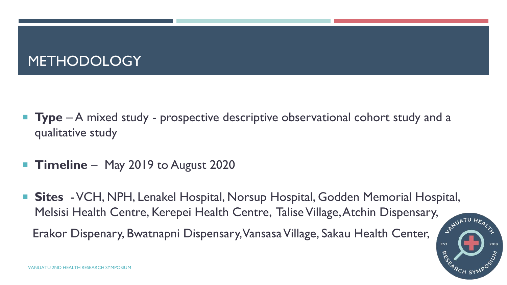# METHODOLOGY

- **Type** A mixed study prospective descriptive observational cohort study and a qualitative study
- **Timeline** May 2019 to August 2020
- **Sites** -VCH, NPH, Lenakel Hospital, Norsup Hospital, Godden Memorial Hospital, Melsisi Health Centre, Kerepei Health Centre, Talise Village, Atchin Dispensary,

Erakor Dispenary, Bwatnapni Dispensary, Vansasa Village, Sakau Health Center,

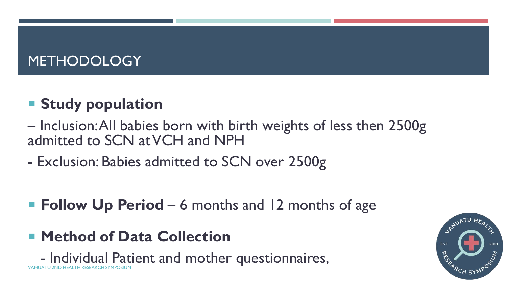# METHODOLOGY

# **F** Study population

- Inclusion: All babies born with birth weights of less then 2500g admitted to SCN at VCH and NPH
- Exclusion: Babies admitted to SCN over 2500g
- Follow Up Period 6 months and 12 months of age
- **Method of Data Collection**

- Individual Patient and mother questionnaires, VANUATU 2ND HEALTH RESEARCH SYMPOSIUM

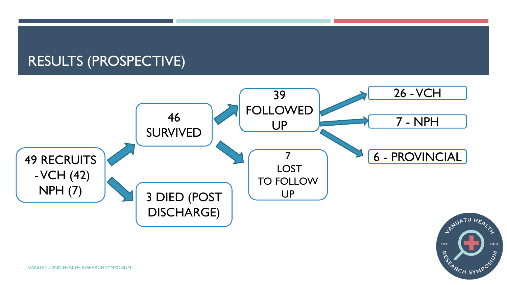### RESULTS (PROSPECTIVE)



#### VANUATU 2ND HEALTH RESEARCH SYMPOSIUM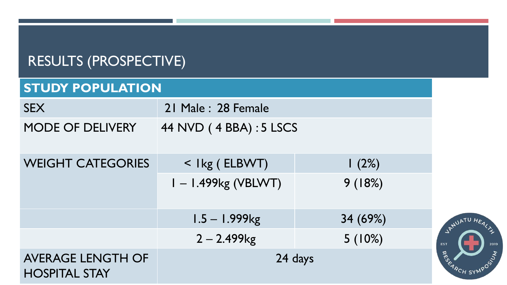| <b>RESULIS (PROSPECTIVE)</b>                     |                         |          |                    |  |
|--------------------------------------------------|-------------------------|----------|--------------------|--|
| <b>STUDY POPULATION</b>                          |                         |          |                    |  |
| <b>SEX</b>                                       | 21 Male: 28 Female      |          |                    |  |
| MODE OF DELIVERY                                 | 44 NVD (4 BBA) : 5 LSCS |          |                    |  |
| <b>WEIGHT CATEGORIES</b>                         | < Ikg (ELBWT)           | 1(2%)    |                    |  |
|                                                  | $I - I.499kg (VBLWT)$   | 9(18%)   |                    |  |
|                                                  | $1.5 - 1.999$ kg        | 34 (69%) | JANUATU HEALT      |  |
|                                                  | $2 - 2.499$ kg          | 5(10%)   | 2019<br><b>EST</b> |  |
| <b>AVERAGE LENGTH OF</b><br><b>HOSPITAL STAY</b> | 24 days                 |          | ARCH SYMPOSTS      |  |

# RESULTS (PROSPECTIVE)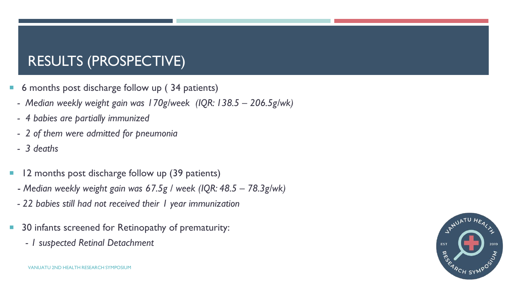# RESULTS (PROSPECTIVE)

- 6 months post discharge follow up ( 34 patients)
- *- Median weekly weight gain was 170g/week (IQR: 138.5 – 206.5g/wk)*
- *- 4 babies are partially immunized*
- *- 2 of them were admitted for pneumonia*
- *- 3 deaths*
- **12 months post discharge follow up (39 patients)** 
	- *Median weekly weight gain was 67.5g / week (IQR: 48.5 – 78.3g/wk)*
	- *- 22 babies still had not received their 1 year immunization*
- 30 infants screened for Retinopathy of prematurity:
	- *- 1 suspected Retinal Detachment*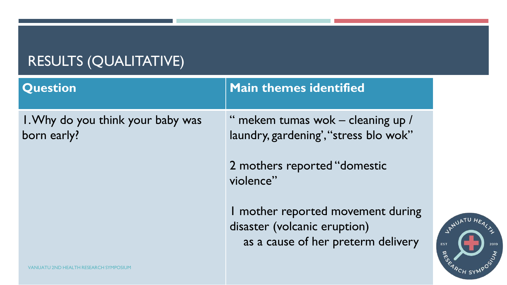# RESULTS (QUALITATIVE)

| <b>Question</b>                                  | <b>Main themes identified</b>                                                                           |
|--------------------------------------------------|---------------------------------------------------------------------------------------------------------|
| I. Why do you think your baby was<br>born early? | " mekem tumas wok - cleaning up /<br>laundry, gardening', "stress blo wok"                              |
|                                                  | 2 mothers reported "domestic<br>violence"                                                               |
|                                                  | I mother reported movement during<br>disaster (volcanic eruption)<br>as a cause of her preterm delivery |
| VANUATU 2ND HEALTH RESEARCH SYMPO                |                                                                                                         |

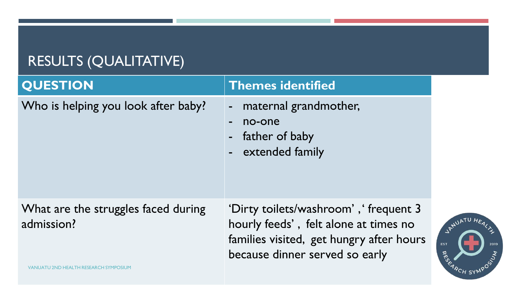# RESULTS (QUALITATIVE)

| <b>QUESTION</b>                                   | <b>Themes identified</b>                                                                                                                                     |
|---------------------------------------------------|--------------------------------------------------------------------------------------------------------------------------------------------------------------|
| Who is helping you look after baby?               | maternal grandmother,<br>$\blacksquare$<br>no-one<br>$\blacksquare$<br>father of baby<br>$\blacksquare$<br>extended family<br>$\blacksquare$                 |
| What are the struggles faced during<br>admission? | 'Dirty toilets/washroom', 'frequent 3<br>hourly feeds', felt alone at times no<br>families visited, get hungry after hours<br>because dinner served so early |

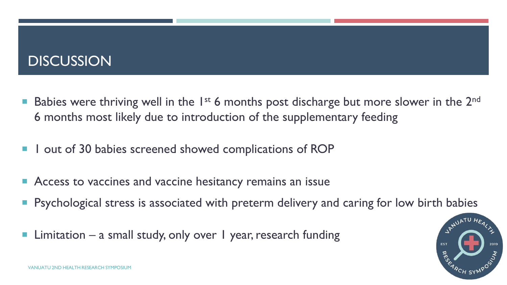# **DISCUSSION**

- **Babies were thriving well in the 1st 6 months post discharge but more slower in the 2<sup>nd</sup>** 6 months most likely due to introduction of the supplementary feeding
- **I** out of 30 babies screened showed complications of ROP
- Access to vaccines and vaccine hesitancy remains an issue
- **Perform** Psychological stress is associated with preterm delivery and caring for low birth babies
- Limitation a small study, only over 1 year, research funding

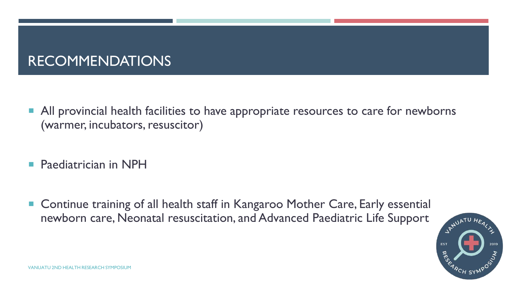# RECOMMENDATIONS

- **All provincial health facilities to have appropriate resources to care for newborns** (warmer, incubators, resuscitor)
- **Paediatrician in NPH**
- Continue training of all health staff in Kangaroo Mother Care, Early essential newborn care, Neonatal resuscitation, and Advanced Paediatric Life Support

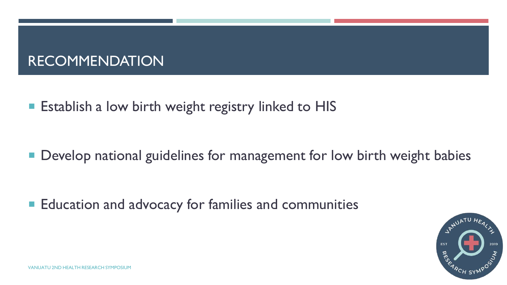# RECOMMENDATION

**Exablish a low birth weight registry linked to HIS** 

**• Develop national guidelines for management for low birth weight babies** 

**Education and advocacy for families and communities** 

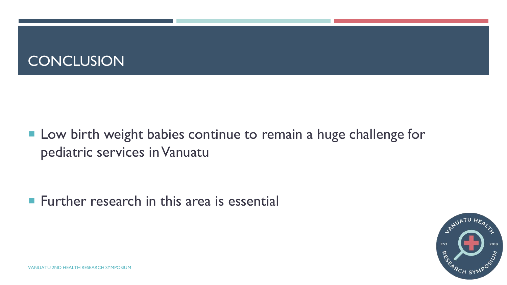

**Low birth weight babies continue to remain a huge challenge for** pediatric services in Vanuatu

**Further research in this area is essential** 

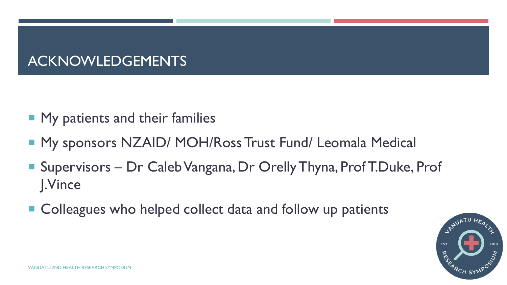# ACKNOWLEDGEMENTS

- **My patients and their families**
- My sponsors NZAID/ MOH/Ross Trust Fund/ Leomala Medical
- Supervisors Dr Caleb Vangana, Dr Orelly Thyna, Prof T.Duke, Prof J.Vince
- Colleagues who helped collect data and follow up patients